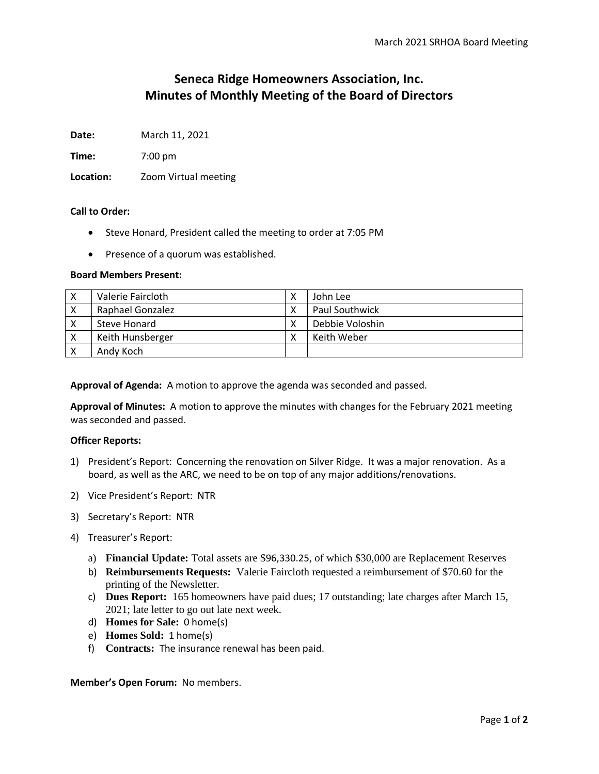# **Seneca Ridge Homeowners Association, Inc. Minutes of Monthly Meeting of the Board of Directors**

**Date:** March 11, 2021

**Time:** 7:00 pm

**Location:** Zoom Virtual meeting

### **Call to Order:**

- Steve Honard, President called the meeting to order at 7:05 PM
- Presence of a quorum was established.

## **Board Members Present:**

| х | Valerie Faircloth | John Lee              |
|---|-------------------|-----------------------|
|   | Raphael Gonzalez  | <b>Paul Southwick</b> |
|   | Steve Honard      | Debbie Voloshin       |
| Х | Keith Hunsberger  | Keith Weber           |
|   | Andy Koch         |                       |

**Approval of Agenda:** A motion to approve the agenda was seconded and passed.

**Approval of Minutes:** A motion to approve the minutes with changes for the February 2021 meeting was seconded and passed.

### **Officer Reports:**

- 1) President's Report: Concerning the renovation on Silver Ridge. It was a major renovation. As a board, as well as the ARC, we need to be on top of any major additions/renovations.
- 2) Vice President's Report: NTR
- 3) Secretary's Report: NTR
- 4) Treasurer's Report:
	- a) **Financial Update:** Total assets are \$96,330.25, of which \$30,000 are Replacement Reserves
	- b) **Reimbursements Requests:** Valerie Faircloth requested a reimbursement of \$70.60 for the printing of the Newsletter.
	- c) **Dues Report:** 165 homeowners have paid dues; 17 outstanding; late charges after March 15, 2021; late letter to go out late next week.
	- d) **Homes for Sale:** 0 home(s)
	- e) **Homes Sold:** 1 home(s)
	- f) **Contracts:** The insurance renewal has been paid.

### **Member's Open Forum:** No members.